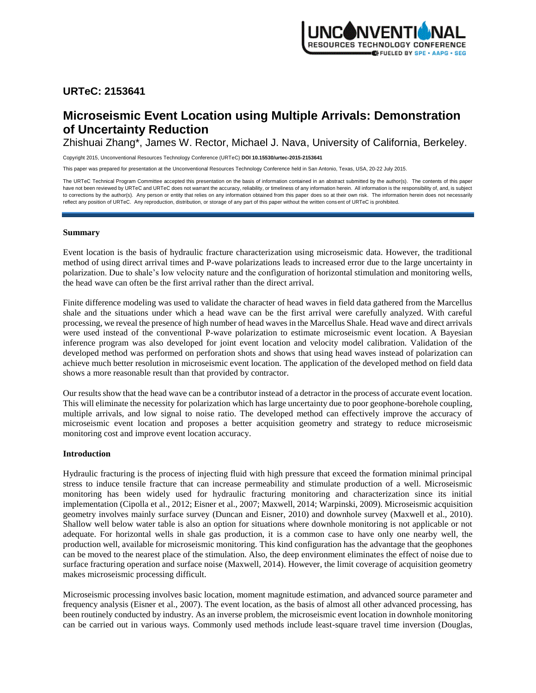

# **URTeC: 2153641**

# **Microseismic Event Location using Multiple Arrivals: Demonstration of Uncertainty Reduction**

Zhishuai Zhang\*, James W. Rector, Michael J. Nava, University of California, Berkeley.

Copyright 2015, Unconventional Resources Technology Conference (URTeC) **DOI 10.15530/urtec-2015-2153641** 

This paper was prepared for presentation at the Unconventional Resources Technology Conference held in San Antonio, Texas, USA, 20-22 July 2015.

The URTeC Technical Program Committee accepted this presentation on the basis of information contained in an abstract submitted by the author(s). The contents of this paper have not been reviewed by URTeC and URTeC does not warrant the accuracy, reliability, or timeliness of any information herein. All information is the responsibility of, and, is subject to corrections by the author(s). Any person or entity that relies on any information obtained from this paper does so at their own risk. The information herein does not necessarily reflect any position of URTeC. Any reproduction, distribution, or storage of any part of this paper without the written consent of URTeC is prohibited.

# **Summary**

Event location is the basis of hydraulic fracture characterization using microseismic data. However, the traditional method of using direct arrival times and P-wave polarizations leads to increased error due to the large uncertainty in polarization. Due to shale's low velocity nature and the configuration of horizontal stimulation and monitoring wells, the head wave can often be the first arrival rather than the direct arrival.

Finite difference modeling was used to validate the character of head waves in field data gathered from the Marcellus shale and the situations under which a head wave can be the first arrival were carefully analyzed. With careful processing, we reveal the presence of high number of head waves in the Marcellus Shale. Head wave and direct arrivals were used instead of the conventional P-wave polarization to estimate microseismic event location. A Bayesian inference program was also developed for joint event location and velocity model calibration. Validation of the developed method was performed on perforation shots and shows that using head waves instead of polarization can achieve much better resolution in microseismic event location. The application of the developed method on field data shows a more reasonable result than that provided by contractor.

Our results show that the head wave can be a contributor instead of a detractor in the process of accurate event location. This will eliminate the necessity for polarization which has large uncertainty due to poor geophone-borehole coupling, multiple arrivals, and low signal to noise ratio. The developed method can effectively improve the accuracy of microseismic event location and proposes a better acquisition geometry and strategy to reduce microseismic monitoring cost and improve event location accuracy.

# **Introduction**

Hydraulic fracturing is the process of injecting fluid with high pressure that exceed the formation minimal principal stress to induce tensile fracture that can increase permeability and stimulate production of a well. Microseismic monitoring has been widely used for hydraulic fracturing monitoring and characterization since its initial implementation (Cipolla et al., 2012; Eisner et al., 2007; Maxwell, 2014; Warpinski, 2009). Microseismic acquisition geometry involves mainly surface survey (Duncan and Eisner, 2010) and downhole survey (Maxwell et al., 2010). Shallow well below water table is also an option for situations where downhole monitoring is not applicable or not adequate. For horizontal wells in shale gas production, it is a common case to have only one nearby well, the production well, available for microseismic monitoring. This kind configuration has the advantage that the geophones can be moved to the nearest place of the stimulation. Also, the deep environment eliminates the effect of noise due to surface fracturing operation and surface noise (Maxwell, 2014). However, the limit coverage of acquisition geometry makes microseismic processing difficult.

Microseismic processing involves basic location, moment magnitude estimation, and advanced source parameter and frequency analysis (Eisner et al., 2007). The event location, as the basis of almost all other advanced processing, has been routinely conducted by industry. As an inverse problem, the microseismic event location in downhole monitoring can be carried out in various ways. Commonly used methods include least-square travel time inversion (Douglas,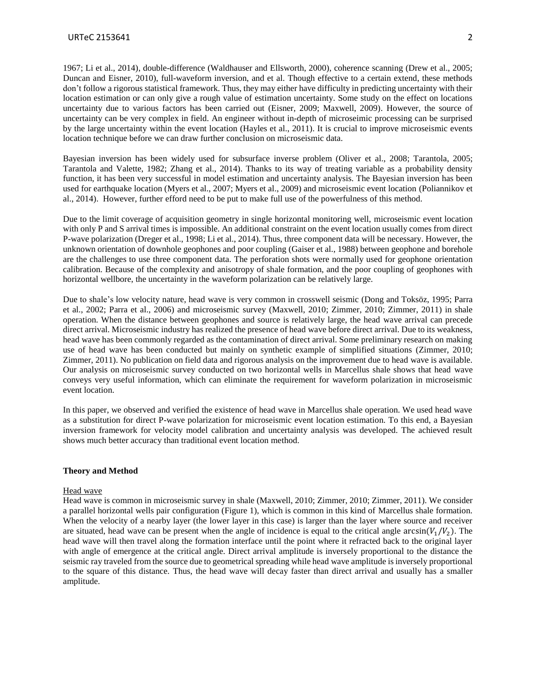1967; Li et al., 2014), double-difference (Waldhauser and Ellsworth, 2000), coherence scanning (Drew et al., 2005; Duncan and Eisner, 2010), full-waveform inversion, and et al. Though effective to a certain extend, these methods don't follow a rigorous statistical framework. Thus, they may either have difficulty in predicting uncertainty with their location estimation or can only give a rough value of estimation uncertainty. Some study on the effect on locations uncertainty due to various factors has been carried out (Eisner, 2009; Maxwell, 2009). However, the source of uncertainty can be very complex in field. An engineer without in-depth of microseimic processing can be surprised by the large uncertainty within the event location (Hayles et al., 2011). It is crucial to improve microseismic events location technique before we can draw further conclusion on microseismic data.

Bayesian inversion has been widely used for subsurface inverse problem (Oliver et al., 2008; Tarantola, 2005; Tarantola and Valette, 1982; Zhang et al., 2014). Thanks to its way of treating variable as a probability density function, it has been very successful in model estimation and uncertainty analysis. The Bayesian inversion has been used for earthquake location (Myers et al., 2007; Myers et al., 2009) and microseismic event location (Poliannikov et al., 2014). However, further efford need to be put to make full use of the powerfulness of this method.

Due to the limit coverage of acquisition geometry in single horizontal monitoring well, microseismic event location with only P and S arrival times is impossible. An additional constraint on the event location usually comes from direct P-wave polarization (Dreger et al., 1998; Li et al., 2014). Thus, three component data will be necessary. However, the unknown orientation of downhole geophones and poor coupling (Gaiser et al., 1988) between geophone and borehole are the challenges to use three component data. The perforation shots were normally used for geophone orientation calibration. Because of the complexity and anisotropy of shale formation, and the poor coupling of geophones with horizontal wellbore, the uncertainty in the waveform polarization can be relatively large.

Due to shale's low velocity nature, head wave is very common in crosswell seismic (Dong and Toksöz, 1995; Parra et al., 2002; Parra et al., 2006) and microseismic survey (Maxwell, 2010; Zimmer, 2010; Zimmer, 2011) in shale operation. When the distance between geophones and source is relatively large, the head wave arrival can precede direct arrival. Microseismic industry has realized the presence of head wave before direct arrival. Due to its weakness, head wave has been commonly regarded as the contamination of direct arrival. Some preliminary research on making use of head wave has been conducted but mainly on synthetic example of simplified situations (Zimmer, 2010; Zimmer, 2011). No publication on field data and rigorous analysis on the improvement due to head wave is available. Our analysis on microseismic survey conducted on two horizontal wells in Marcellus shale shows that head wave conveys very useful information, which can eliminate the requirement for waveform polarization in microseismic event location.

In this paper, we observed and verified the existence of head wave in Marcellus shale operation. We used head wave as a substitution for direct P-wave polarization for microseismic event location estimation. To this end, a Bayesian inversion framework for velocity model calibration and uncertainty analysis was developed. The achieved result shows much better accuracy than traditional event location method.

#### **Theory and Method**

### Head wave

Head wave is common in microseismic survey in shale (Maxwell, 2010; Zimmer, 2010; Zimmer, 2011). We consider a parallel horizontal wells pair configuration (Figure 1), which is common in this kind of Marcellus shale formation. When the velocity of a nearby layer (the lower layer in this case) is larger than the layer where source and receiver are situated, head wave can be present when the angle of incidence is equal to the critical angle  $arcsin(V_1/V_2)$ . The head wave will then travel along the formation interface until the point where it refracted back to the original layer with angle of emergence at the critical angle. Direct arrival amplitude is inversely proportional to the distance the seismic ray traveled from the source due to geometrical spreading while head wave amplitude is inversely proportional to the square of this distance. Thus, the head wave will decay faster than direct arrival and usually has a smaller amplitude.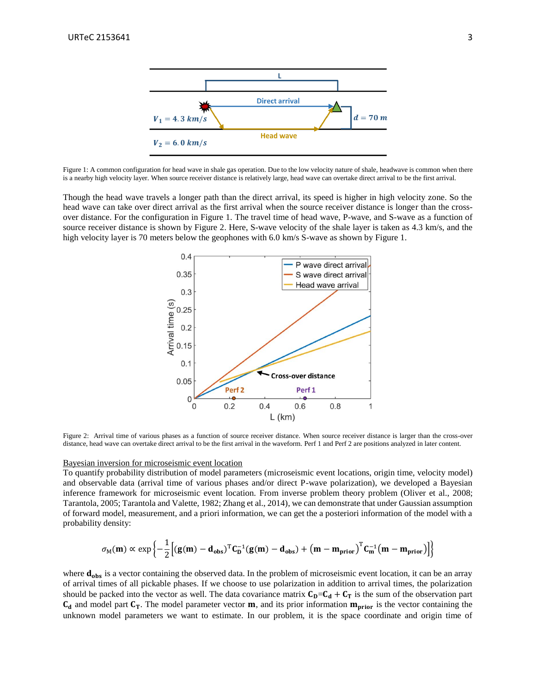

Figure 1: A common configuration for head wave in shale gas operation. Due to the low velocity nature of shale, headwave is common when there is a nearby high velocity layer. When source receiver distance is relatively large, head wave can overtake direct arrival to be the first arrival.

Though the head wave travels a longer path than the direct arrival, its speed is higher in high velocity zone. So the head wave can take over direct arrival as the first arrival when the source receiver distance is longer than the crossover distance. For the configuration in Figure 1. The travel time of head wave, P-wave, and S-wave as a function of source receiver distance is shown by Figure 2. Here, S-wave velocity of the shale layer is taken as 4.3 km/s, and the high velocity layer is 70 meters below the geophones with 6.0 km/s S-wave as shown by Figure 1.



Figure 2: Arrival time of various phases as a function of source receiver distance. When source receiver distance is larger than the cross-over distance, head wave can overtake direct arrival to be the first arrival in the waveform. Perf 1 and Perf 2 are positions analyzed in later content.

#### Bayesian inversion for microseismic event location

To quantify probability distribution of model parameters (microseismic event locations, origin time, velocity model) and observable data (arrival time of various phases and/or direct P-wave polarization), we developed a Bayesian inference framework for microseismic event location. From inverse problem theory problem (Oliver et al., 2008; Tarantola, 2005; Tarantola and Valette, 1982; Zhang et al., 2014), we can demonstrate that under Gaussian assumption of forward model, measurement, and a priori information, we can get the a posteriori information of the model with a probability density:

$$
\sigma_M(m) \propto \exp\left\{-\frac{1}{2}\Big[(g(m)-d_{obs})^T C_D^{-1}(g(m)-d_{obs})+\big(m-m_{prior}\big)^T C_m^{-1}\big(m-m_{prior}\big)\Big]\right\}
$$

where  $\mathbf{d}_{\text{obs}}$  is a vector containing the observed data. In the problem of microseismic event location, it can be an array of arrival times of all pickable phases. If we choose to use polarization in addition to arrival times, the polarization should be packed into the vector as well. The data covariance matrix  $C_p = C_d + C_T$  is the sum of the observation part  $C_d$  and model part  $C_T$ . The model parameter vector **m**, and its prior information  $m_{prior}$  is the vector containing the unknown model parameters we want to estimate. In our problem, it is the space coordinate and origin time of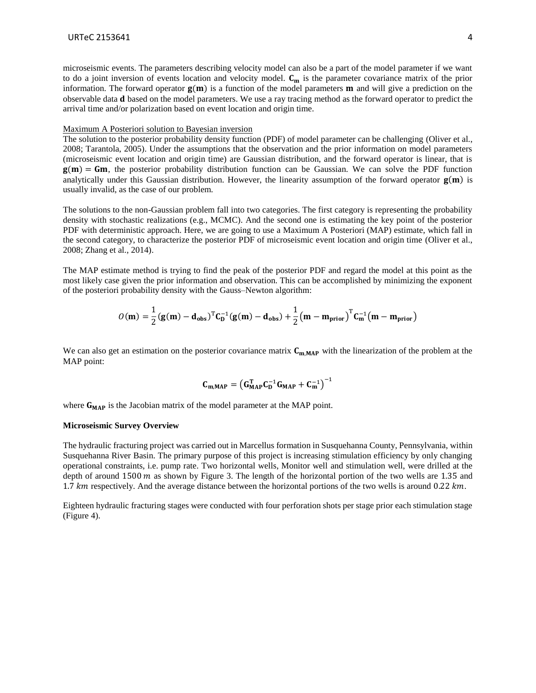microseismic events. The parameters describing velocity model can also be a part of the model parameter if we want to do a joint inversion of events location and velocity model.  $C_m$  is the parameter covariance matrix of the prior information. The forward operator  $g(m)$  is a function of the model parameters **m** and will give a prediction on the observable data **d** based on the model parameters. We use a ray tracing method as the forward operator to predict the arrival time and/or polarization based on event location and origin time.

#### Maximum A Posteriori solution to Bayesian inversion

The solution to the posterior probability density function (PDF) of model parameter can be challenging (Oliver et al., 2008; Tarantola, 2005). Under the assumptions that the observation and the prior information on model parameters (microseismic event location and origin time) are Gaussian distribution, and the forward operator is linear, that is  $g(m) = Gm$ , the posterior probability distribution function can be Gaussian. We can solve the PDF function analytically under this Gaussian distribution. However, the linearity assumption of the forward operator  $g(m)$  is usually invalid, as the case of our problem.

The solutions to the non-Gaussian problem fall into two categories. The first category is representing the probability density with stochastic realizations (e.g., MCMC). And the second one is estimating the key point of the posterior PDF with deterministic approach. Here, we are going to use a Maximum A Posteriori (MAP) estimate, which fall in the second category, to characterize the posterior PDF of microseismic event location and origin time (Oliver et al., 2008; Zhang et al., 2014).

The MAP estimate method is trying to find the peak of the posterior PDF and regard the model at this point as the most likely case given the prior information and observation. This can be accomplished by minimizing the exponent of the posteriori probability density with the Gauss–Newton algorithm:

$$
\mathit{O}(m) = \frac{1}{2} (g(m) - d_{obs})^T C_D^{-1} (g(m) - d_{obs}) + \frac{1}{2} (m - m_{prior})^T C_m^{-1} (m - m_{prior})
$$

We can also get an estimation on the posterior covariance matrix  $C_{m,MAP}$  with the linearization of the problem at the MAP point:

$$
C_{m,MAP} = \left(G_{MAP}^T C_D^{-1} G_{MAP} + C_m^{-1}\right)^{-1}
$$

where  $G_{MAP}$  is the Jacobian matrix of the model parameter at the MAP point.

#### **Microseismic Survey Overview**

The hydraulic fracturing project was carried out in Marcellus formation in Susquehanna County, Pennsylvania, within Susquehanna River Basin. The primary purpose of this project is increasing stimulation efficiency by only changing operational constraints, i.e. pump rate. Two horizontal wells, Monitor well and stimulation well, were drilled at the depth of around  $1500 \, m$  as shown by Figure 3. The length of the horizontal portion of the two wells are 1.35 and 1.7  $km$  respectively. And the average distance between the horizontal portions of the two wells is around 0.22  $km$ .

Eighteen hydraulic fracturing stages were conducted with four perforation shots per stage prior each stimulation stage (Figure 4).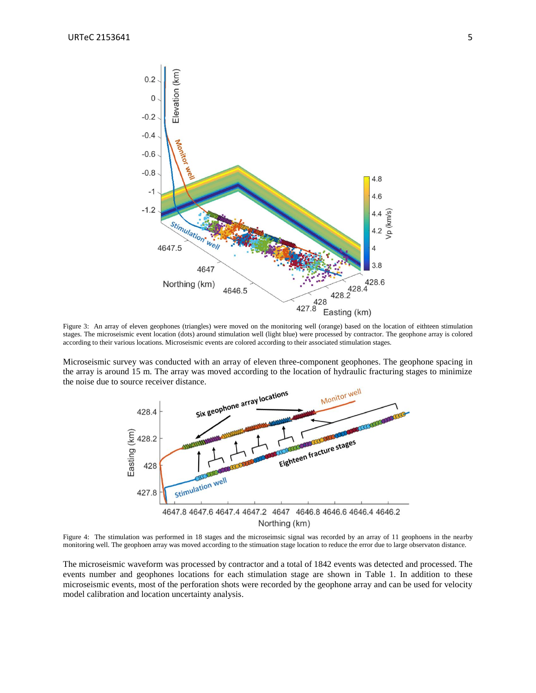

stages. The microseismic event location (dots) around stimulation well (light blue) were processed by contractor. The geophone array is colored according to their various locations. Microseismic events are colored according to their associated stimulation stages.

Microseismic survey was conducted with an array of eleven three-component geophones. The geophone spacing in the array is around 15 m. The array was moved according to the location of hydraulic fracturing stages to minimize



Figure 4: The stimulation was performed in 18 stages and the microseimsic signal was recorded by an array of 11 geophoens in the nearby monitoring well. The geophoen array was moved according to the stimuation stage location to reduce the error due to large observaton distance.

The microseismic waveform was processed by contractor and a total of 1842 events was detected and processed. The events number and geophones locations for each stimulation stage are shown in Table 1. In addition to these microseismic events, most of the perforation shots were recorded by the geophone array and can be used for velocity model calibration and location uncertainty analysis.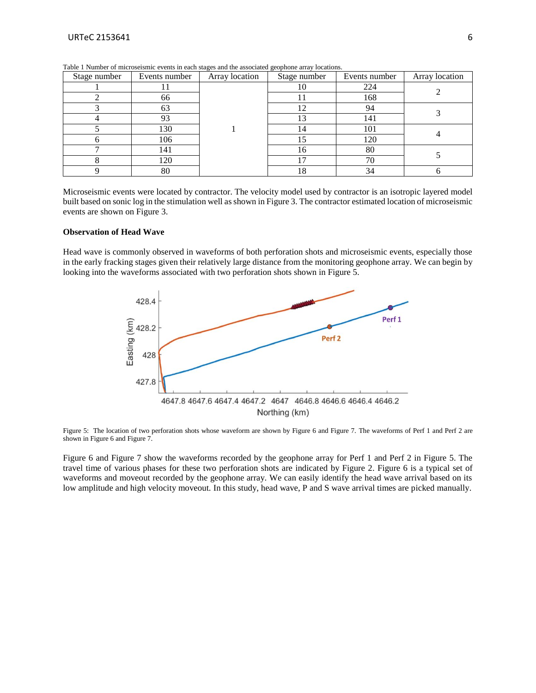| Stage number | Events number | Array location | Stage number | Events number | Array location |
|--------------|---------------|----------------|--------------|---------------|----------------|
|              |               |                | 10           | 224           |                |
|              | 66            |                |              | 168           |                |
|              | 63            |                |              | 94            |                |
|              | 93            |                |              | 141           |                |
|              | 130           |                | 14           | 101           |                |
|              | 106           |                |              | 120           |                |
|              | 141           |                | 16           | 80            |                |
|              | 120           |                | 17           | 70            |                |
|              | 80            |                | 18           | 34            |                |

Table 1 Number of microseismic events in each stages and the associated geophone array locations.

Microseismic events were located by contractor. The velocity model used by contractor is an isotropic layered model built based on sonic log in the stimulation well as shown in Figure 3. The contractor estimated location of microseismic events are shown on Figure 3.

# **Observation of Head Wave**

Head wave is commonly observed in waveforms of both perforation shots and microseismic events, especially those in the early fracking stages given their relatively large distance from the monitoring geophone array. We can begin by looking into the waveforms associated with two perforation shots shown in Figure 5.



Figure 5: The location of two perforation shots whose waveform are shown by Figure 6 and Figure 7. The waveforms of Perf 1 and Perf 2 are shown in Figure 6 and Figure 7.

Figure 6 and Figure 7 show the waveforms recorded by the geophone array for Perf 1 and Perf 2 in Figure 5. The travel time of various phases for these two perforation shots are indicated by Figure 2. Figure 6 is a typical set of waveforms and moveout recorded by the geophone array. We can easily identify the head wave arrival based on its low amplitude and high velocity moveout. In this study, head wave, P and S wave arrival times are picked manually.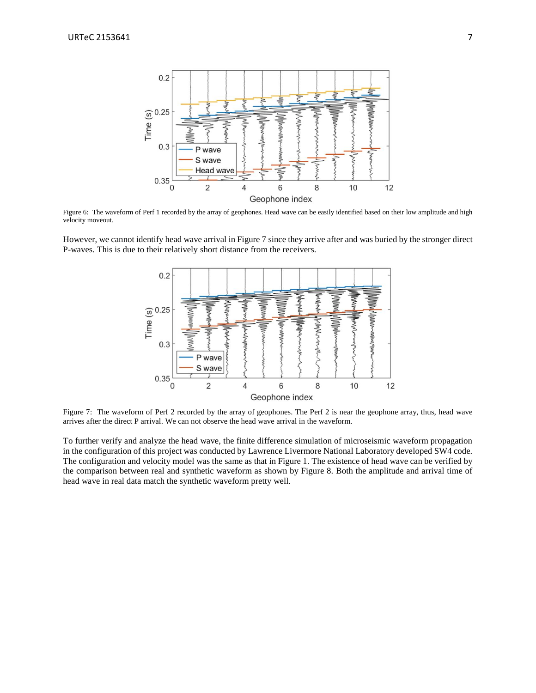

Figure 6: The waveform of Perf 1 recorded by the array of geophones. Head wave can be easily identified based on their low amplitude and high velocity moveout.

However, we cannot identify head wave arrival in Figure 7 since they arrive after and was buried by the stronger direct P-waves. This is due to their relatively short distance from the receivers.



Figure 7: The waveform of Perf 2 recorded by the array of geophones. The Perf 2 is near the geophone array, thus, head wave arrives after the direct P arrival. We can not observe the head wave arrival in the waveform.

To further verify and analyze the head wave, the finite difference simulation of microseismic waveform propagation in the configuration of this project was conducted by Lawrence Livermore National Laboratory developed SW4 code. The configuration and velocity model was the same as that in Figure 1. The existence of head wave can be verified by the comparison between real and synthetic waveform as shown by Figure 8. Both the amplitude and arrival time of head wave in real data match the synthetic waveform pretty well.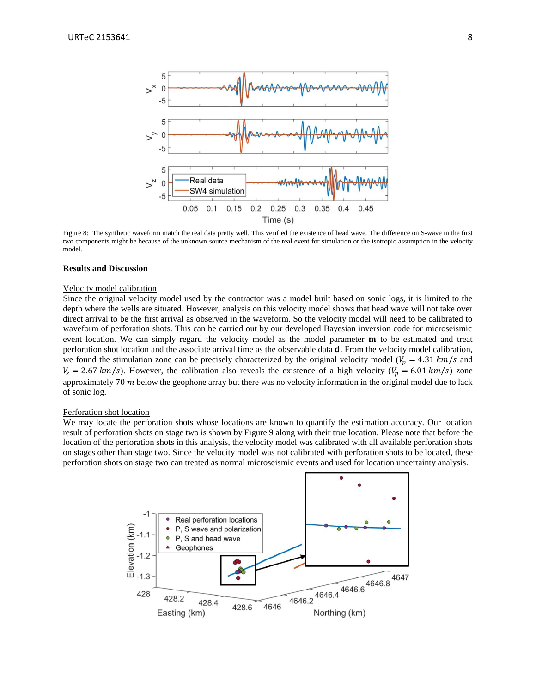

Figure 8: The synthetic waveform match the real data pretty well. This verified the existence of head wave. The difference on S-wave in the first two components might be because of the unknown source mechanism of the real event for simulation or the isotropic assumption in the velocity model.

# **Results and Discussion**

#### Velocity model calibration

Since the original velocity model used by the contractor was a model built based on sonic logs, it is limited to the depth where the wells are situated. However, analysis on this velocity model shows that head wave will not take over direct arrival to be the first arrival as observed in the waveform. So the velocity model will need to be calibrated to waveform of perforation shots. This can be carried out by our developed Bayesian inversion code for microseismic event location. We can simply regard the velocity model as the model parameter **m** to be estimated and treat perforation shot location and the associate arrival time as the observable data **d**. From the velocity model calibration, we found the stimulation zone can be precisely characterized by the original velocity model ( $V_p = 4.31 \text{ km/s}$  and  $V_s = 2.67 \ km/s$ ). However, the calibration also reveals the existence of a high velocity ( $V_p = 6.01 \ km/s$ ) zone approximately 70  $m$  below the geophone array but there was no velocity information in the original model due to lack of sonic log.

#### Perforation shot location

We may locate the perforation shots whose locations are known to quantify the estimation accuracy. Our location result of perforation shots on stage two is shown by Figure 9 along with their true location. Please note that before the location of the perforation shots in this analysis, the velocity model was calibrated with all available perforation shots on stages other than stage two. Since the velocity model was not calibrated with perforation shots to be located, these perforation shots on stage two can treated as normal microseismic events and used for location uncertainty analysis.

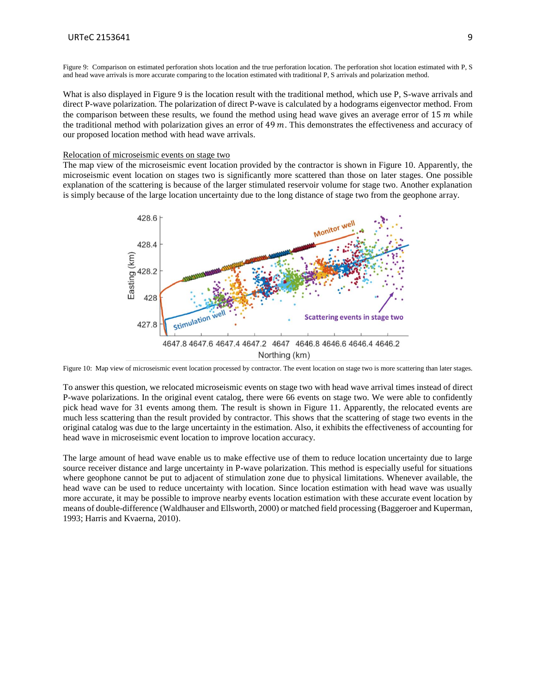Figure 9: Comparison on estimated perforation shots location and the true perforation location. The perforation shot location estimated with P, S and head wave arrivals is more accurate comparing to the location estimated with traditional P, S arrivals and polarization method.

What is also displayed in Figure 9 is the location result with the traditional method, which use P, S-wave arrivals and direct P-wave polarization. The polarization of direct P-wave is calculated by a hodograms eigenvector method. From the comparison between these results, we found the method using head wave gives an average error of  $15 \, m$  while the traditional method with polarization gives an error of  $49 \, m$ . This demonstrates the effectiveness and accuracy of our proposed location method with head wave arrivals.

#### Relocation of microseismic events on stage two

The map view of the microseismic event location provided by the contractor is shown in Figure 10. Apparently, the microseismic event location on stages two is significantly more scattered than those on later stages. One possible explanation of the scattering is because of the larger stimulated reservoir volume for stage two. Another explanation is simply because of the large location uncertainty due to the long distance of stage two from the geophone array.



Figure 10: Map view of microseismic event location processed by contractor. The event location on stage two is more scattering than later stages.

To answer this question, we relocated microseismic events on stage two with head wave arrival times instead of direct P-wave polarizations. In the original event catalog, there were 66 events on stage two. We were able to confidently pick head wave for 31 events among them. The result is shown in Figure 11. Apparently, the relocated events are much less scattering than the result provided by contractor. This shows that the scattering of stage two events in the original catalog was due to the large uncertainty in the estimation. Also, it exhibits the effectiveness of accounting for head wave in microseismic event location to improve location accuracy.

The large amount of head wave enable us to make effective use of them to reduce location uncertainty due to large source receiver distance and large uncertainty in P-wave polarization. This method is especially useful for situations where geophone cannot be put to adjacent of stimulation zone due to physical limitations. Whenever available, the head wave can be used to reduce uncertainty with location. Since location estimation with head wave was usually more accurate, it may be possible to improve nearby events location estimation with these accurate event location by means of double-difference (Waldhauser and Ellsworth, 2000) or matched field processing (Baggeroer and Kuperman, 1993; Harris and Kvaerna, 2010).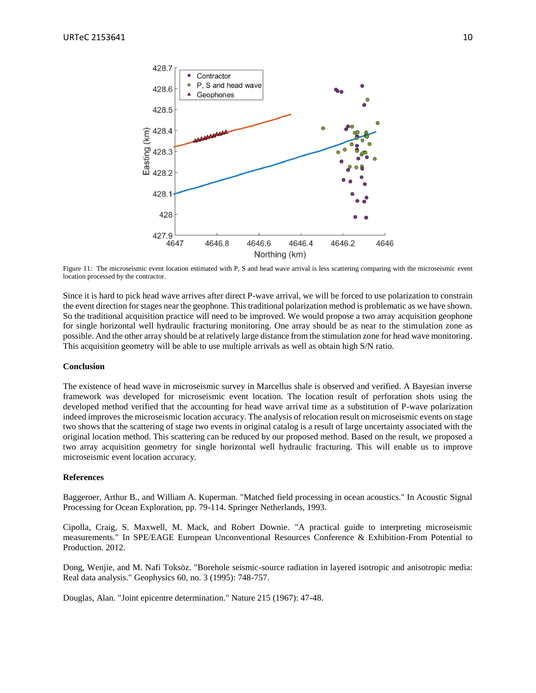

Figure 11: The microseismic event location estimated with P, S and head wave arrival is less scattering comparing with the microseismic event location processed by the contractor.

Since it is hard to pick head wave arrives after direct P-wave arrival, we will be forced to use polarization to constrain the event direction for stages near the geophone. This traditional polarization method is problematic as we have shown. So the traditional acquisition practice will need to be improved. We would propose a two array acquisition geophone for single horizontal well hydraulic fracturing monitoring. One array should be as near to the stimulation zone as possible. And the other array should be at relatively large distance from the stimulation zone for head wave monitoring. This acquisition geometry will be able to use multiple arrivals as well as obtain high S/N ratio.

## **Conclusion**

The existence of head wave in microseismic survey in Marcellus shale is observed and verified. A Bayesian inverse framework was developed for microseismic event location. The location result of perforation shots using the developed method verified that the accounting for head wave arrival time as a substitution of P-wave polarization indeed improves the microseismic location accuracy. The analysis of relocation result on microseismic events on stage two shows that the scattering of stage two events in original catalog is a result of large uncertainty associated with the original location method. This scattering can be reduced by our proposed method. Based on the result, we proposed a two array acquisition geometry for single horizontal well hydraulic fracturing. This will enable us to improve microseismic event location accuracy.

#### **References**

Baggeroer, Arthur B., and William A. Kuperman. "Matched field processing in ocean acoustics." In Acoustic Signal Processing for Ocean Exploration, pp. 79-114. Springer Netherlands, 1993.

Cipolla, Craig, S. Maxwell, M. Mack, and Robert Downie. "A practical guide to interpreting microseismic measurements." In SPE/EAGE European Unconventional Resources Conference & Exhibition-From Potential to Production. 2012.

Dong, Wenjie, and M. Nafi Toksöz. "Borehole seismic-source radiation in layered isotropic and anisotropic media: Real data analysis." Geophysics 60, no. 3 (1995): 748-757.

Douglas, Alan. "Joint epicentre determination." Nature 215 (1967): 47-48.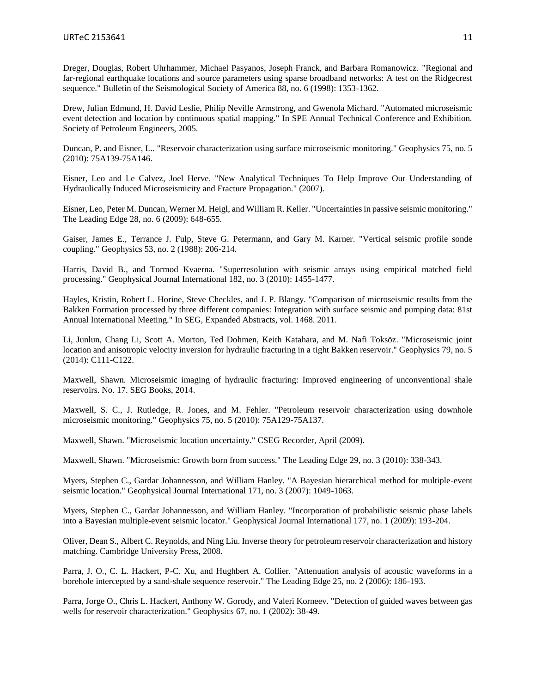Dreger, Douglas, Robert Uhrhammer, Michael Pasyanos, Joseph Franck, and Barbara Romanowicz. "Regional and far-regional earthquake locations and source parameters using sparse broadband networks: A test on the Ridgecrest sequence." Bulletin of the Seismological Society of America 88, no. 6 (1998): 1353-1362.

Drew, Julian Edmund, H. David Leslie, Philip Neville Armstrong, and Gwenola Michard. "Automated microseismic event detection and location by continuous spatial mapping." In SPE Annual Technical Conference and Exhibition. Society of Petroleum Engineers, 2005.

Duncan, P. and Eisner, L.. "Reservoir characterization using surface microseismic monitoring." Geophysics 75, no. 5 (2010): 75A139-75A146.

Eisner, Leo and Le Calvez, Joel Herve. "New Analytical Techniques To Help Improve Our Understanding of Hydraulically Induced Microseismicity and Fracture Propagation." (2007).

Eisner, Leo, Peter M. Duncan, Werner M. Heigl, and William R. Keller. "Uncertainties in passive seismic monitoring." The Leading Edge 28, no. 6 (2009): 648-655.

Gaiser, James E., Terrance J. Fulp, Steve G. Petermann, and Gary M. Karner. "Vertical seismic profile sonde coupling." Geophysics 53, no. 2 (1988): 206-214.

Harris, David B., and Tormod Kvaerna. "Superresolution with seismic arrays using empirical matched field processing." Geophysical Journal International 182, no. 3 (2010): 1455-1477.

Hayles, Kristin, Robert L. Horine, Steve Checkles, and J. P. Blangy. "Comparison of microseismic results from the Bakken Formation processed by three different companies: Integration with surface seismic and pumping data: 81st Annual International Meeting." In SEG, Expanded Abstracts, vol. 1468. 2011.

Li, Junlun, Chang Li, Scott A. Morton, Ted Dohmen, Keith Katahara, and M. Nafi Toksöz. "Microseismic joint location and anisotropic velocity inversion for hydraulic fracturing in a tight Bakken reservoir." Geophysics 79, no. 5 (2014): C111-C122.

Maxwell, Shawn. Microseismic imaging of hydraulic fracturing: Improved engineering of unconventional shale reservoirs. No. 17. SEG Books, 2014.

Maxwell, S. C., J. Rutledge, R. Jones, and M. Fehler. "Petroleum reservoir characterization using downhole microseismic monitoring." Geophysics 75, no. 5 (2010): 75A129-75A137.

Maxwell, Shawn. "Microseismic location uncertainty." CSEG Recorder, April (2009).

Maxwell, Shawn. "Microseismic: Growth born from success." The Leading Edge 29, no. 3 (2010): 338-343.

Myers, Stephen C., Gardar Johannesson, and William Hanley. "A Bayesian hierarchical method for multiple-event seismic location." Geophysical Journal International 171, no. 3 (2007): 1049-1063.

Myers, Stephen C., Gardar Johannesson, and William Hanley. "Incorporation of probabilistic seismic phase labels into a Bayesian multiple-event seismic locator." Geophysical Journal International 177, no. 1 (2009): 193-204.

Oliver, Dean S., Albert C. Reynolds, and Ning Liu. Inverse theory for petroleum reservoir characterization and history matching. Cambridge University Press, 2008.

Parra, J. O., C. L. Hackert, P-C. Xu, and Hughbert A. Collier. "Attenuation analysis of acoustic waveforms in a borehole intercepted by a sand-shale sequence reservoir." The Leading Edge 25, no. 2 (2006): 186-193.

Parra, Jorge O., Chris L. Hackert, Anthony W. Gorody, and Valeri Korneev. "Detection of guided waves between gas wells for reservoir characterization." Geophysics 67, no. 1 (2002): 38-49.